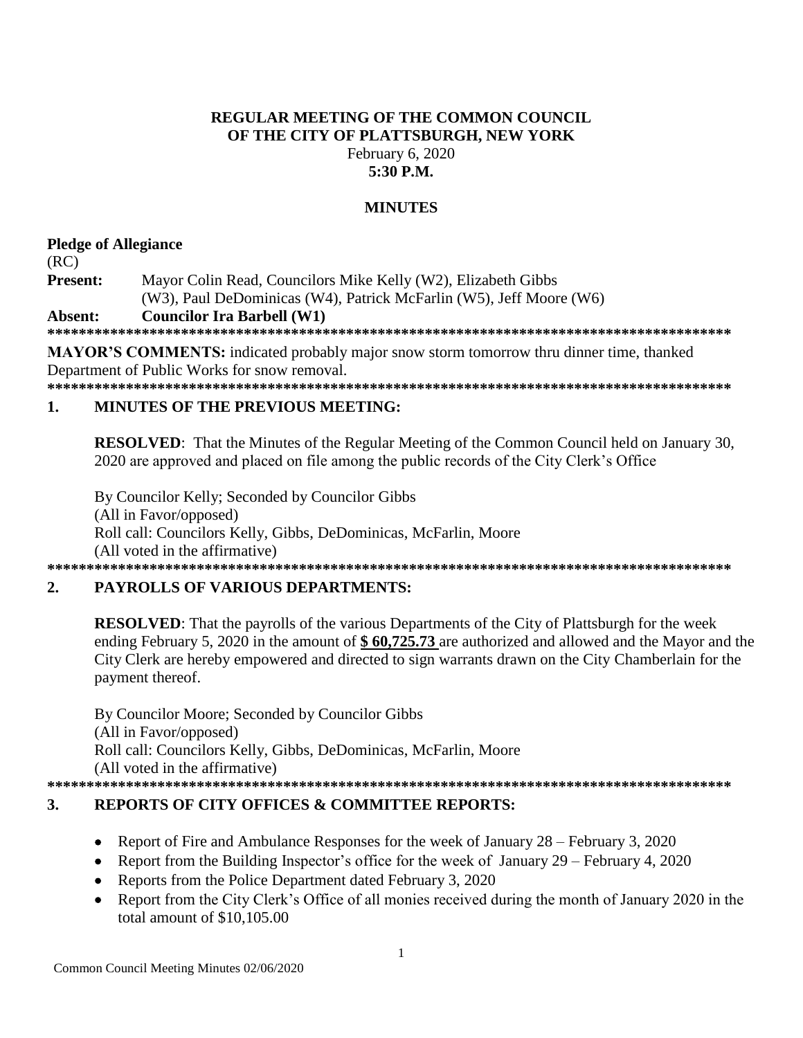### **REGULAR MEETING OF THE COMMON COUNCIL** OF THE CITY OF PLATTSBURGH, NEW YORK February 6, 2020  $5:30$  P.M.

### **MINUTES**

## **Pledge of Allegiance**

 $(RC)$ 

Present: Mayor Colin Read, Councilors Mike Kelly (W2), Elizabeth Gibbs (W3), Paul DeDominicas (W4), Patrick McFarlin (W5), Jeff Moore (W6) **Councilor Ira Barbell (W1)** Absent:

**MAYOR'S COMMENTS:** indicated probably major snow storm tomorrow thru dinner time, thanked Department of Public Works for snow removal.

#### **MINUTES OF THE PREVIOUS MEETING:**  $\mathbf{1}$

**RESOLVED:** That the Minutes of the Regular Meeting of the Common Council held on January 30, 2020 are approved and placed on file among the public records of the City Clerk's Office

By Councilor Kelly; Seconded by Councilor Gibbs (All in Favor/opposed) Roll call: Councilors Kelly, Gibbs, DeDominicas, McFarlin, Moore (All voted in the affirmative) 

#### $2.$ **PAYROLLS OF VARIOUS DEPARTMENTS:**

**RESOLVED:** That the payrolls of the various Departments of the City of Plattsburgh for the week ending February 5, 2020 in the amount of  $$60,725.73$  are authorized and allowed and the Mayor and the City Clerk are hereby empowered and directed to sign warrants drawn on the City Chamberlain for the payment thereof.

By Councilor Moore; Seconded by Councilor Gibbs (All in Favor/opposed) Roll call: Councilors Kelly, Gibbs, DeDominicas, McFarlin, Moore (All voted in the affirmative) 

#### $3.$ **REPORTS OF CITY OFFICES & COMMITTEE REPORTS:**

- Report of Fire and Ambulance Responses for the week of January 28 February 3, 2020  $\bullet$
- Report from the Building Inspector's office for the week of January 29 February 4, 2020
- Reports from the Police Department dated February 3, 2020
- Report from the City Clerk's Office of all monies received during the month of January 2020 in the total amount of  $$10,105.00$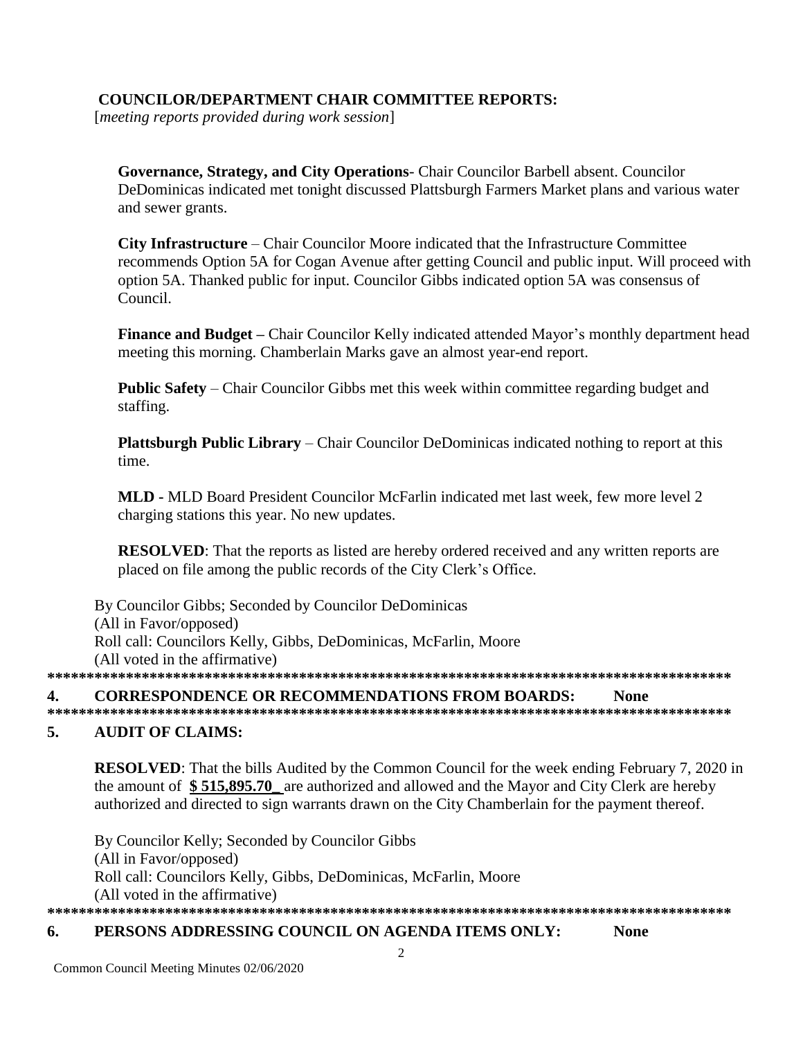# **COUNCILOR/DEPARTMENT CHAIR COMMITTEE REPORTS:**

[meeting reports provided during work session]

Governance, Strategy, and City Operations- Chair Councilor Barbell absent. Councilor DeDominicas indicated met tonight discussed Plattsburgh Farmers Market plans and various water and sewer grants.

**City Infrastructure** – Chair Councilor Moore indicated that the Infrastructure Committee recommends Option 5A for Cogan Avenue after getting Council and public input. Will proceed with option 5A. Thanked public for input. Councilor Gibbs indicated option 5A was consensus of Council.

Finance and Budget – Chair Councilor Kelly indicated attended Mayor's monthly department head meeting this morning. Chamberlain Marks gave an almost year-end report.

**Public Safety** – Chair Councilor Gibbs met this week within committee regarding budget and staffing.

**Plattsburgh Public Library** – Chair Councilor DeDominicas indicated nothing to report at this time.

MLD - MLD Board President Councilor McFarlin indicated met last week, few more level 2 charging stations this year. No new updates.

**RESOLVED:** That the reports as listed are hereby ordered received and any written reports are placed on file among the public records of the City Clerk's Office.

By Councilor Gibbs; Seconded by Councilor DeDominicas (All in Favor/opposed) Roll call: Councilors Kelly, Gibbs, DeDominicas, McFarlin, Moore (All voted in the affirmative) 

#### **CORRESPONDENCE OR RECOMMENDATIONS FROM BOARDS:**  $\mathbf{4}$ . **None**

#### 5. **AUDIT OF CLAIMS:**

**RESOLVED:** That the bills Audited by the Common Council for the week ending February 7, 2020 in the amount of \$515,895.70 are authorized and allowed and the Mayor and City Clerk are hereby authorized and directed to sign warrants drawn on the City Chamberlain for the payment thereof.

By Councilor Kelly; Seconded by Councilor Gibbs (All in Favor/opposed) Roll call: Councilors Kelly, Gibbs, DeDominicas, McFarlin, Moore (All voted in the affirmative) 

#### PERSONS ADDRESSING COUNCIL ON AGENDA ITEMS ONLY: 6. **None**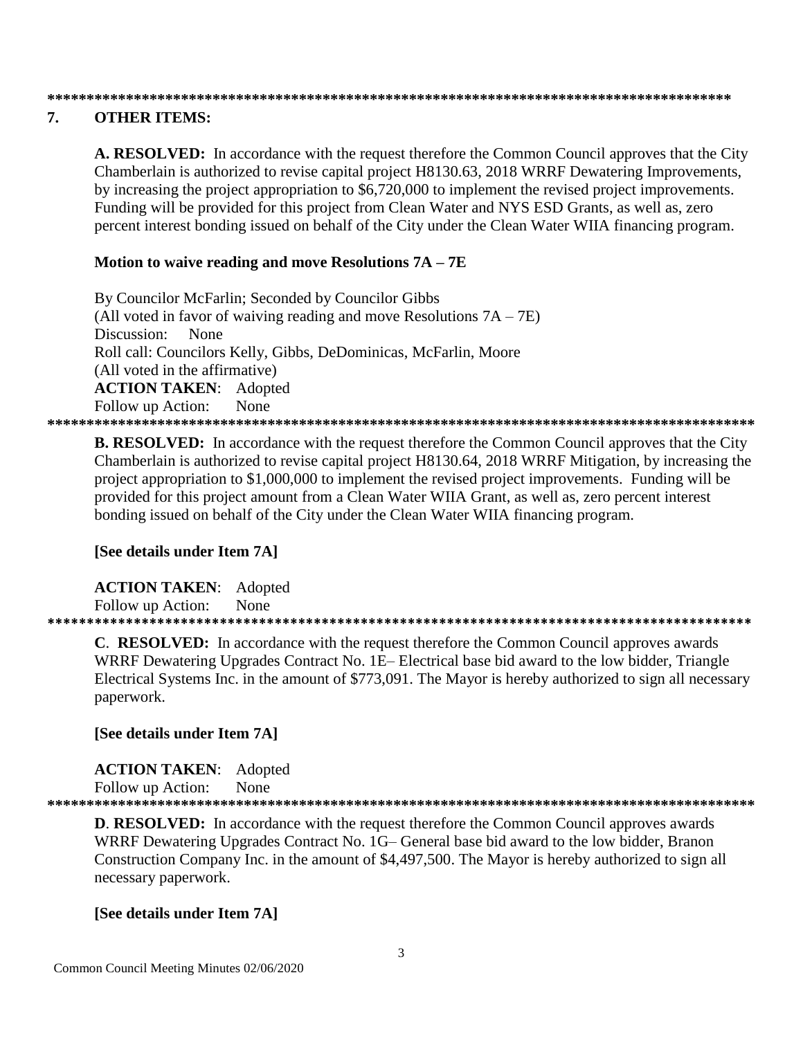### 

#### 7. **OTHER ITEMS:**

A. RESOLVED: In accordance with the request therefore the Common Council approves that the City Chamberlain is authorized to revise capital project H8130.63, 2018 WRRF Dewatering Improvements, by increasing the project appropriation to \$6,720,000 to implement the revised project improvements. Funding will be provided for this project from Clean Water and NYS ESD Grants, as well as, zero percent interest bonding issued on behalf of the City under the Clean Water WIIA financing program.

### Motion to waive reading and move Resolutions  $7A - 7E$

By Councilor McFarlin; Seconded by Councilor Gibbs (All voted in favor of waiving reading and move Resolutions  $7A - 7E$ ) Discussion: None Roll call: Councilors Kelly, Gibbs, DeDominicas, McFarlin, Moore (All voted in the affirmative) **ACTION TAKEN:** Adopted Follow up Action: None 

**B. RESOLVED:** In accordance with the request therefore the Common Council approves that the City Chamberlain is authorized to revise capital project H8130.64, 2018 WRRF Mitigation, by increasing the project appropriation to \$1,000,000 to implement the revised project improvements. Funding will be provided for this project amount from a Clean Water WIIA Grant, as well as, zero percent interest bonding issued on behalf of the City under the Clean Water WIIA financing program.

### [See details under Item 7A]

**ACTION TAKEN:** Adopted Follow up Action: None

**C. RESOLVED:** In accordance with the request therefore the Common Council approves awards WRRF Dewatering Upgrades Contract No. 1E– Electrical base bid award to the low bidder, Triangle Electrical Systems Inc. in the amount of \$773,091. The Mayor is hereby authorized to sign all necessary paperwork.

## [See details under Item 7A]

**ACTION TAKEN:** Adopted Follow up Action: None 

**D. RESOLVED:** In accordance with the request therefore the Common Council approves awards WRRF Dewatering Upgrades Contract No. 1G– General base bid award to the low bidder, Branon Construction Company Inc. in the amount of \$4,497,500. The Mayor is hereby authorized to sign all necessary paperwork.

## [See details under Item 7A]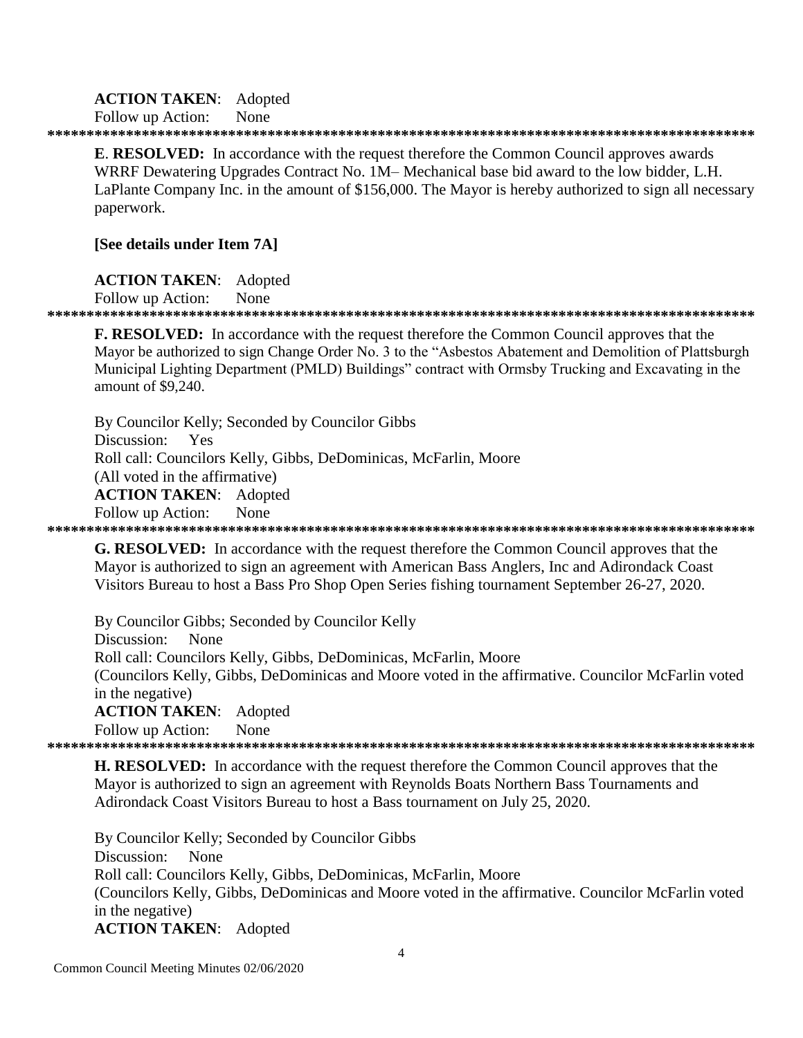### **ACTION TAKEN:** Adopted

Follow up Action: None

**E. RESOLVED:** In accordance with the request therefore the Common Council approves awards WRRF Dewatering Upgrades Contract No. 1M– Mechanical base bid award to the low bidder, L.H. LaPlante Company Inc. in the amount of \$156,000. The Mayor is hereby authorized to sign all necessary paperwork.

### [See details under Item 7A]

**ACTION TAKEN:** Adopted

Follow up Action: None

### 

**F. RESOLVED:** In accordance with the request therefore the Common Council approves that the Mayor be authorized to sign Change Order No. 3 to the "Asbestos Abatement and Demolition of Plattsburgh Municipal Lighting Department (PMLD) Buildings" contract with Ormsby Trucking and Excavating in the amount of \$9,240.

By Councilor Kelly; Seconded by Councilor Gibbs Discussion: Yes Roll call: Councilors Kelly, Gibbs, DeDominicas, McFarlin, Moore (All voted in the affirmative) **ACTION TAKEN:** Adopted Follow up Action: None 

**G. RESOLVED:** In accordance with the request therefore the Common Council approves that the Mayor is authorized to sign an agreement with American Bass Anglers, Inc and Adirondack Coast Visitors Bureau to host a Bass Pro Shop Open Series fishing tournament September 26-27, 2020.

By Councilor Gibbs; Seconded by Councilor Kelly Discussion: **None** Roll call: Councilors Kelly, Gibbs, DeDominicas, McFarlin, Moore (Councilors Kelly, Gibbs, DeDominicas and Moore voted in the affirmative. Councilor McFarlin voted in the negative) **ACTION TAKEN:** Adopted Follow up Action: None 

**H. RESOLVED:** In accordance with the request therefore the Common Council approves that the Mayor is authorized to sign an agreement with Reynolds Boats Northern Bass Tournaments and Adirondack Coast Visitors Bureau to host a Bass tournament on July 25, 2020.

By Councilor Kelly; Seconded by Councilor Gibbs Discussion: None Roll call: Councilors Kelly, Gibbs, DeDominicas, McFarlin, Moore (Councilors Kelly, Gibbs, DeDominicas and Moore voted in the affirmative. Councilor McFarlin voted in the negative) **ACTION TAKEN:** Adopted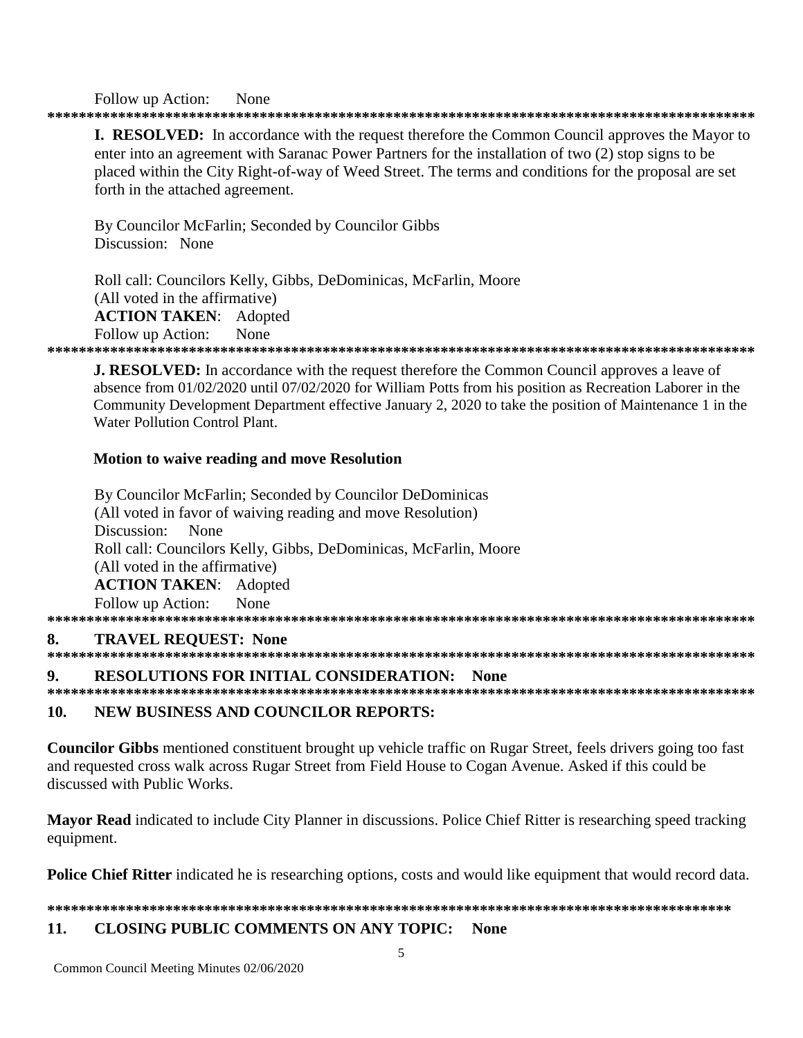### None Follow up Action:

**I. RESOLVED:** In accordance with the request therefore the Common Council approves the Mayor to enter into an agreement with Saranac Power Partners for the installation of two (2) stop signs to be placed within the City Right-of-way of Weed Street. The terms and conditions for the proposal are set forth in the attached agreement.

By Councilor McFarlin; Seconded by Councilor Gibbs Discussion: None

Roll call: Councilors Kelly, Gibbs, DeDominicas, McFarlin, Moore (All voted in the affirmative) **ACTION TAKEN:** Adopted Follow up Action: **None** 

**J. RESOLVED:** In accordance with the request therefore the Common Council approves a leave of absence from 01/02/2020 until 07/02/2020 for William Potts from his position as Recreation Laborer in the Community Development Department effective January 2, 2020 to take the position of Maintenance 1 in the Water Pollution Control Plant.

# **Motion to waive reading and move Resolution**

By Councilor McFarlin; Seconded by Councilor DeDominicas (All voted in favor of waiving reading and move Resolution) Discussion: None Roll call: Councilors Kelly, Gibbs, DeDominicas, McFarlin, Moore (All voted in the affirmative) **ACTION TAKEN:** Adopted Follow up Action: None 

### 8. **TRAVEL REOUEST: None**

### $\mathbf Q$ **RESOLUTIONS FOR INITIAL CONSIDERATION: None**

### 10. **NEW BUSINESS AND COUNCILOR REPORTS:**

**Councilor Gibbs** mentioned constituent brought up vehicle traffic on Rugar Street, feels drivers going too fast and requested cross walk across Rugar Street from Field House to Cogan Avenue. Asked if this could be discussed with Public Works.

Mayor Read indicated to include City Planner in discussions. Police Chief Ritter is researching speed tracking equipment.

**Police Chief Ritter** indicated he is researching options, costs and would like equipment that would record data.

#### $11.$ **CLOSING PUBLIC COMMENTS ON ANY TOPIC: None**